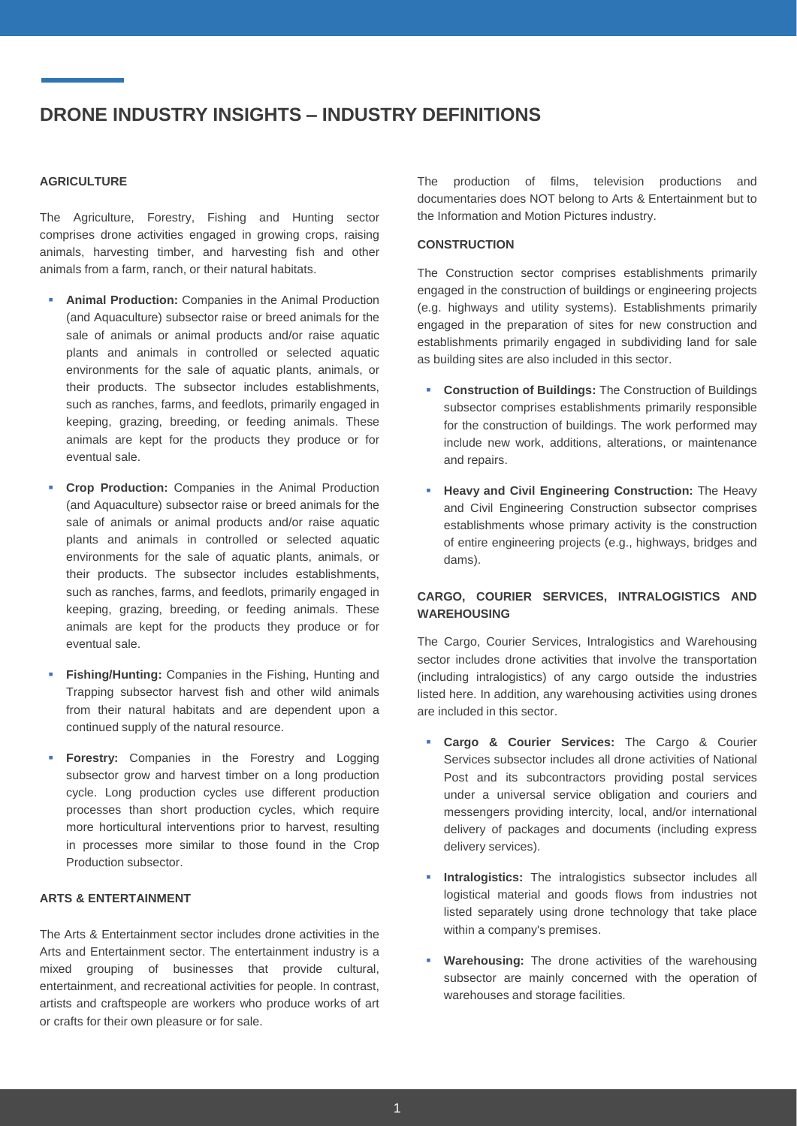#### **AGRICULTURE**

The Agriculture, Forestry, Fishing and Hunting sector comprises drone activities engaged in growing crops, raising animals, harvesting timber, and harvesting fish and other animals from a farm, ranch, or their natural habitats.

- **Animal Production:** Companies in the Animal Production (and Aquaculture) subsector raise or breed animals for the sale of animals or animal products and/or raise aquatic plants and animals in controlled or selected aquatic environments for the sale of aquatic plants, animals, or their products. The subsector includes establishments, such as ranches, farms, and feedlots, primarily engaged in keeping, grazing, breeding, or feeding animals. These animals are kept for the products they produce or for eventual sale.
- **Crop Production:** Companies in the Animal Production (and Aquaculture) subsector raise or breed animals for the sale of animals or animal products and/or raise aquatic plants and animals in controlled or selected aquatic environments for the sale of aquatic plants, animals, or their products. The subsector includes establishments, such as ranches, farms, and feedlots, primarily engaged in keeping, grazing, breeding, or feeding animals. These animals are kept for the products they produce or for eventual sale.
- **Fishing/Hunting:** Companies in the Fishing, Hunting and Trapping subsector harvest fish and other wild animals from their natural habitats and are dependent upon a continued supply of the natural resource.
- **Exercise 5 Forestry:** Companies in the Forestry and Logging subsector grow and harvest timber on a long production cycle. Long production cycles use different production processes than short production cycles, which require more horticultural interventions prior to harvest, resulting in processes more similar to those found in the Crop Production subsector.

#### **ARTS & ENTERTAINMENT**

The Arts & Entertainment sector includes drone activities in the Arts and Entertainment sector. The entertainment industry is a mixed grouping of businesses that provide cultural, entertainment, and recreational activities for people. In contrast, artists and craftspeople are workers who produce works of art or crafts for their own pleasure or for sale.

The production of films, television productions and documentaries does NOT belong to Arts & Entertainment but to the Information and Motion Pictures industry.

#### **CONSTRUCTION**

The Construction sector comprises establishments primarily engaged in the construction of buildings or engineering projects (e.g. highways and utility systems). Establishments primarily engaged in the preparation of sites for new construction and establishments primarily engaged in subdividing land for sale as building sites are also included in this sector.

- **Construction of Buildings:** The Construction of Buildings subsector comprises establishments primarily responsible for the construction of buildings. The work performed may include new work, additions, alterations, or maintenance and repairs.
- **Heavy and Civil Engineering Construction:** The Heavy and Civil Engineering Construction subsector comprises establishments whose primary activity is the construction of entire engineering projects (e.g., highways, bridges and dams).

### **CARGO, COURIER SERVICES, INTRALOGISTICS AND WAREHOUSING**

The Cargo, Courier Services, Intralogistics and Warehousing sector includes drone activities that involve the transportation (including intralogistics) of any cargo outside the industries listed here. In addition, any warehousing activities using drones are included in this sector.

- **Cargo & Courier Services:** The Cargo & Courier Services subsector includes all drone activities of National Post and its subcontractors providing postal services under a universal service obligation and couriers and messengers providing intercity, local, and/or international delivery of packages and documents (including express delivery services).
- **·** Intralogistics: The intralogistics subsector includes all logistical material and goods flows from industries not listed separately using drone technology that take place within a company's premises.
- **Warehousing:** The drone activities of the warehousing subsector are mainly concerned with the operation of warehouses and storage facilities.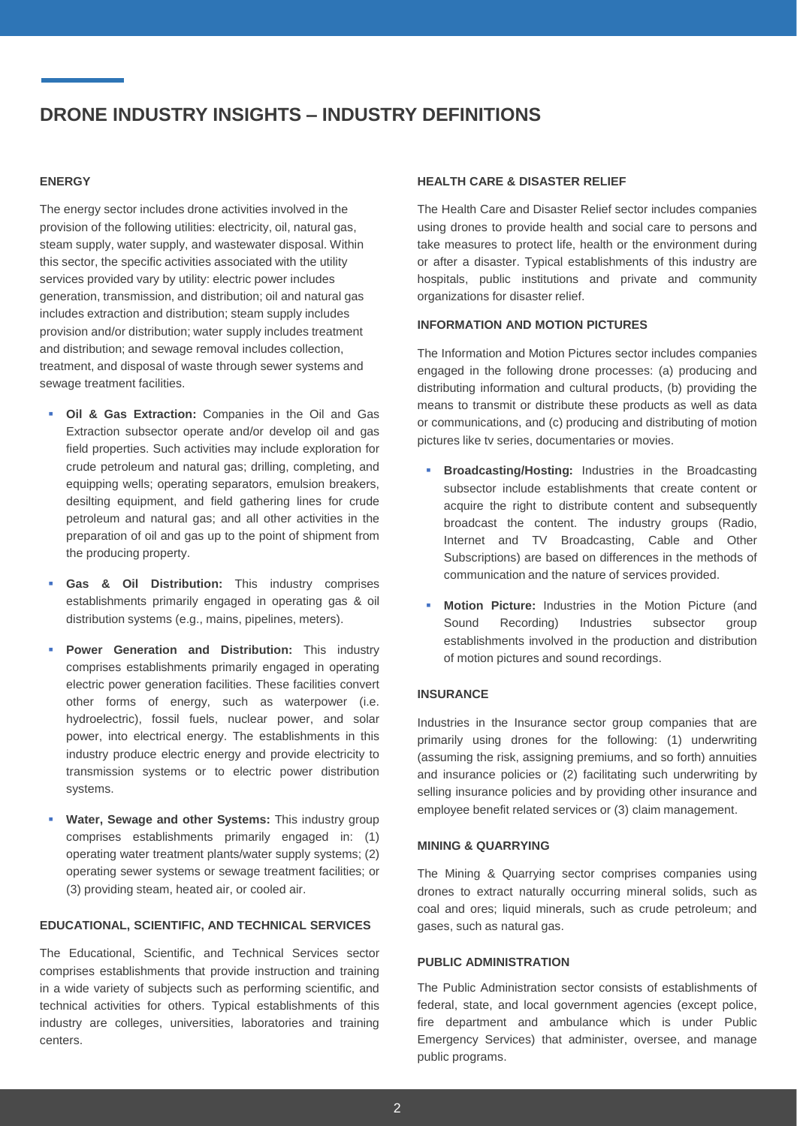#### **ENERGY**

The energy sector includes drone activities involved in the provision of the following utilities: electricity, oil, natural gas, steam supply, water supply, and wastewater disposal. Within this sector, the specific activities associated with the utility services provided vary by utility: electric power includes generation, transmission, and distribution; oil and natural gas includes extraction and distribution; steam supply includes provision and/or distribution; water supply includes treatment and distribution; and sewage removal includes collection, treatment, and disposal of waste through sewer systems and sewage treatment facilities.

- **Oil & Gas Extraction:** Companies in the Oil and Gas Extraction subsector operate and/or develop oil and gas field properties. Such activities may include exploration for crude petroleum and natural gas; drilling, completing, and equipping wells; operating separators, emulsion breakers, desilting equipment, and field gathering lines for crude petroleum and natural gas; and all other activities in the preparation of oil and gas up to the point of shipment from the producing property.
- **Gas & Oil Distribution:** This industry comprises establishments primarily engaged in operating gas & oil distribution systems (e.g., mains, pipelines, meters).
- **Power Generation and Distribution:** This industry comprises establishments primarily engaged in operating electric power generation facilities. These facilities convert other forms of energy, such as waterpower (i.e. hydroelectric), fossil fuels, nuclear power, and solar power, into electrical energy. The establishments in this industry produce electric energy and provide electricity to transmission systems or to electric power distribution systems.
- **Water, Sewage and other Systems:** This industry group comprises establishments primarily engaged in: (1) operating water treatment plants/water supply systems; (2) operating sewer systems or sewage treatment facilities; or (3) providing steam, heated air, or cooled air.

## **EDUCATIONAL, SCIENTIFIC, AND TECHNICAL SERVICES**

The Educational, Scientific, and Technical Services sector comprises establishments that provide instruction and training in a wide variety of subjects such as performing scientific, and technical activities for others. Typical establishments of this industry are colleges, universities, laboratories and training centers.

#### **HEALTH CARE & DISASTER RELIEF**

The Health Care and Disaster Relief sector includes companies using drones to provide health and social care to persons and take measures to protect life, health or the environment during or after a disaster. Typical establishments of this industry are hospitals, public institutions and private and community organizations for disaster relief.

#### **INFORMATION AND MOTION PICTURES**

The Information and Motion Pictures sector includes companies engaged in the following drone processes: (a) producing and distributing information and cultural products, (b) providing the means to transmit or distribute these products as well as data or communications, and (c) producing and distributing of motion pictures like tv series, documentaries or movies.

- **Broadcasting/Hosting:** Industries in the Broadcasting subsector include establishments that create content or acquire the right to distribute content and subsequently broadcast the content. The industry groups (Radio, Internet and TV Broadcasting, Cable and Other Subscriptions) are based on differences in the methods of communication and the nature of services provided.
- **Motion Picture:** Industries in the Motion Picture (and Sound Recording) Industries subsector group establishments involved in the production and distribution of motion pictures and sound recordings.

#### **INSURANCE**

Industries in the Insurance sector group companies that are primarily using drones for the following: (1) underwriting (assuming the risk, assigning premiums, and so forth) annuities and insurance policies or (2) facilitating such underwriting by selling insurance policies and by providing other insurance and employee benefit related services or (3) claim management.

#### **MINING & QUARRYING**

The Mining & Quarrying sector comprises companies using drones to extract naturally occurring mineral solids, such as coal and ores; liquid minerals, such as crude petroleum; and gases, such as natural gas.

## **PUBLIC ADMINISTRATION**

The Public Administration sector consists of establishments of federal, state, and local government agencies (except police, fire department and ambulance which is under Public Emergency Services) that administer, oversee, and manage public programs.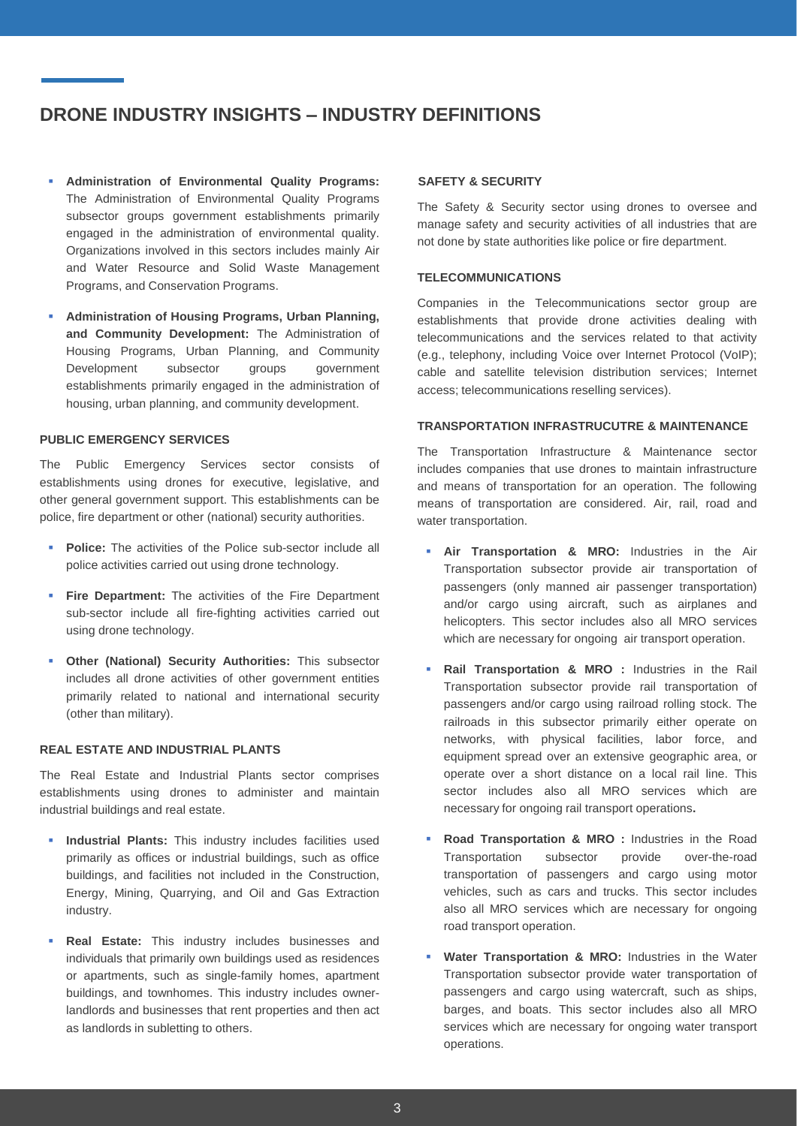- **Administration of Environmental Quality Programs:** The Administration of Environmental Quality Programs subsector groups government establishments primarily engaged in the administration of environmental quality. Organizations involved in this sectors includes mainly Air and Water Resource and Solid Waste Management Programs, and Conservation Programs.
- **Administration of Housing Programs, Urban Planning, and Community Development:** The Administration of Housing Programs, Urban Planning, and Community Development subsector groups government establishments primarily engaged in the administration of housing, urban planning, and community development.

#### **PUBLIC EMERGENCY SERVICES**

The Public Emergency Services sector consists of establishments using drones for executive, legislative, and other general government support. This establishments can be police, fire department or other (national) security authorities.

- **Police:** The activities of the Police sub-sector include all police activities carried out using drone technology.
- **Fire Department:** The activities of the Fire Department sub-sector include all fire-fighting activities carried out using drone technology.
- **Other (National) Security Authorities:** This subsector includes all drone activities of other government entities primarily related to national and international security (other than military).

#### **REAL ESTATE AND INDUSTRIAL PLANTS**

The Real Estate and Industrial Plants sector comprises establishments using drones to administer and maintain industrial buildings and real estate.

- **Industrial Plants:** This industry includes facilities used primarily as offices or industrial buildings, such as office buildings, and facilities not included in the Construction, Energy, Mining, Quarrying, and Oil and Gas Extraction industry.
- **Real Estate:** This industry includes businesses and individuals that primarily own buildings used as residences or apartments, such as single-family homes, apartment buildings, and townhomes. This industry includes ownerlandlords and businesses that rent properties and then act as landlords in subletting to others.

#### **SAFETY & SECURITY**

The Safety & Security sector using drones to oversee and manage safety and security activities of all industries that are not done by state authorities like police or fire department.

#### **TELECOMMUNICATIONS**

Companies in the Telecommunications sector group are establishments that provide drone activities dealing with telecommunications and the services related to that activity (e.g., telephony, including Voice over Internet Protocol (VoIP); cable and satellite television distribution services; Internet access; telecommunications reselling services).

#### **TRANSPORTATION INFRASTRUCUTRE & MAINTENANCE**

The Transportation Infrastructure & Maintenance sector includes companies that use drones to maintain infrastructure and means of transportation for an operation. The following means of transportation are considered. Air, rail, road and water transportation.

- **Air Transportation & MRO:** Industries in the Air Transportation subsector provide air transportation of passengers (only manned air passenger transportation) and/or cargo using aircraft, such as airplanes and helicopters. This sector includes also all MRO services which are necessary for ongoing air transport operation.
- **Rail Transportation & MRO :** Industries in the Rail Transportation subsector provide rail transportation of passengers and/or cargo using railroad rolling stock. The railroads in this subsector primarily either operate on networks, with physical facilities, labor force, and equipment spread over an extensive geographic area, or operate over a short distance on a local rail line. This sector includes also all MRO services which are necessary for ongoing rail transport operations**.**
- **Road Transportation & MRO** : Industries in the Road Transportation subsector provide over-the-road transportation of passengers and cargo using motor vehicles, such as cars and trucks. This sector includes also all MRO services which are necessary for ongoing road transport operation.
- **Water Transportation & MRO:** Industries in the Water Transportation subsector provide water transportation of passengers and cargo using watercraft, such as ships, barges, and boats. This sector includes also all MRO services which are necessary for ongoing water transport operations.